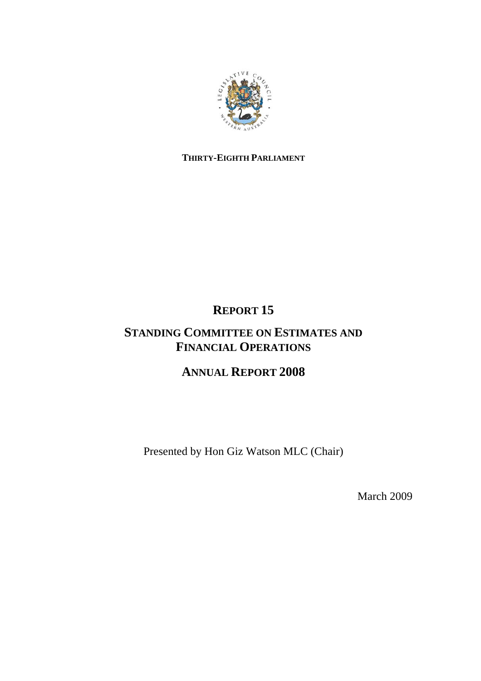

## **THIRTY-EIGHTH PARLIAMENT**

# **REPORT 15**

## **STANDING COMMITTEE ON ESTIMATES AND FINANCIAL OPERATIONS**

# **ANNUAL REPORT 2008**

Presented by Hon Giz Watson MLC (Chair)

March 2009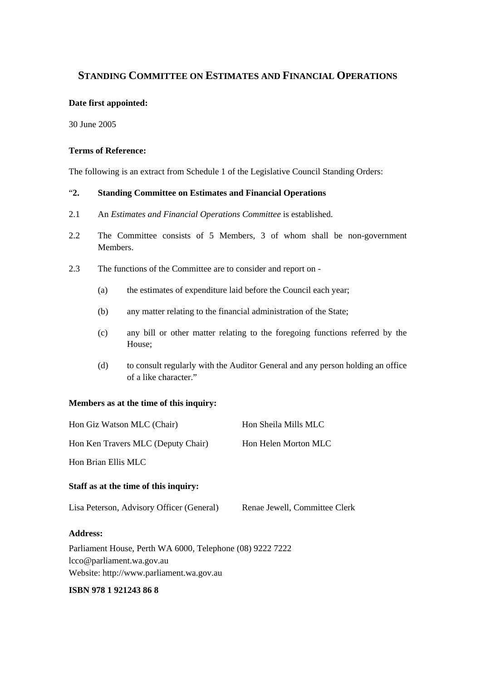## **STANDING COMMITTEE ON ESTIMATES AND FINANCIAL OPERATIONS**

### **Date first appointed:**

30 June 2005

### **Terms of Reference:**

The following is an extract from Schedule 1 of the Legislative Council Standing Orders:

## "**2. Standing Committee on Estimates and Financial Operations**

- 2.1 An *Estimates and Financial Operations Committee* is established.
- 2.2 The Committee consists of 5 Members, 3 of whom shall be non-government Members.
- 2.3 The functions of the Committee are to consider and report on
	- (a) the estimates of expenditure laid before the Council each year;
	- (b) any matter relating to the financial administration of the State;
	- (c) any bill or other matter relating to the foregoing functions referred by the House;
	- (d) to consult regularly with the Auditor General and any person holding an office of a like character."

## **Members as at the time of this inquiry:**

| Hon Giz Watson MLC (Chair)                                | Hon Sheila Mills MLC          |  |  |
|-----------------------------------------------------------|-------------------------------|--|--|
| Hon Ken Travers MLC (Deputy Chair)                        | Hon Helen Morton MLC          |  |  |
| Hon Brian Ellis MLC                                       |                               |  |  |
| Staff as at the time of this inquiry:                     |                               |  |  |
| Lisa Peterson, Advisory Officer (General)                 | Renae Jewell, Committee Clerk |  |  |
| <b>Address:</b>                                           |                               |  |  |
| Parliament House, Perth WA 6000, Telephone (08) 9222 7222 |                               |  |  |
| lcco@parliament.wa.gov.au                                 |                               |  |  |
| Website: http://www.parliament.wa.gov.au                  |                               |  |  |

#### **ISBN 978 1 921243 86 8**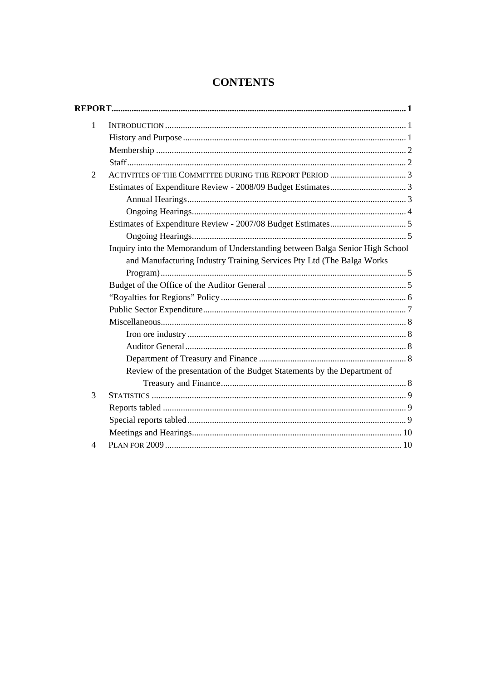| $\mathbf{1}$   |                                                                               |
|----------------|-------------------------------------------------------------------------------|
|                |                                                                               |
|                |                                                                               |
|                |                                                                               |
| $\overline{2}$ |                                                                               |
|                |                                                                               |
|                |                                                                               |
|                |                                                                               |
|                |                                                                               |
|                |                                                                               |
|                | Inquiry into the Memorandum of Understanding between Balga Senior High School |
|                | and Manufacturing Industry Training Services Pty Ltd (The Balga Works         |
|                |                                                                               |
|                |                                                                               |
|                |                                                                               |
|                |                                                                               |
|                |                                                                               |
|                |                                                                               |
|                |                                                                               |
|                |                                                                               |
|                | Review of the presentation of the Budget Statements by the Department of      |
|                |                                                                               |
| 3              |                                                                               |
|                |                                                                               |
|                |                                                                               |
|                |                                                                               |
| 4              |                                                                               |

## **CONTENTS**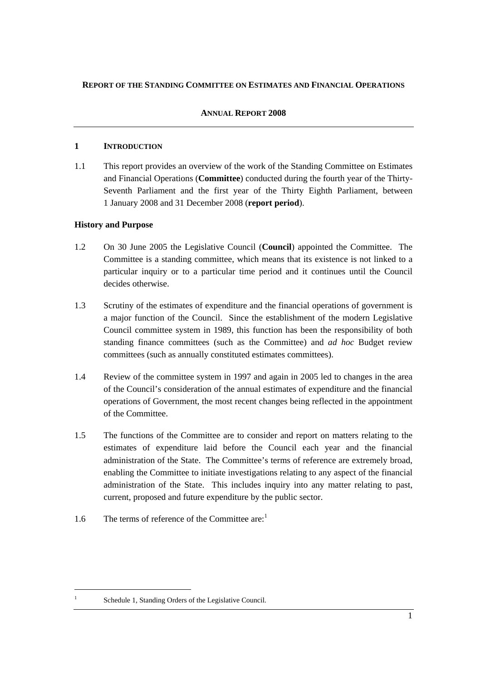## **REPORT OF THE STANDING COMMITTEE ON ESTIMATES AND FINANCIAL OPERATIONS**

## **ANNUAL REPORT 2008**

### **1 INTRODUCTION**

1.1 This report provides an overview of the work of the Standing Committee on Estimates and Financial Operations (**Committee**) conducted during the fourth year of the Thirty-Seventh Parliament and the first year of the Thirty Eighth Parliament, between 1 January 2008 and 31 December 2008 (**report period**).

## **History and Purpose**

- 1.2 On 30 June 2005 the Legislative Council (**Council**) appointed the Committee. The Committee is a standing committee, which means that its existence is not linked to a particular inquiry or to a particular time period and it continues until the Council decides otherwise.
- 1.3 Scrutiny of the estimates of expenditure and the financial operations of government is a major function of the Council. Since the establishment of the modern Legislative Council committee system in 1989, this function has been the responsibility of both standing finance committees (such as the Committee) and *ad hoc* Budget review committees (such as annually constituted estimates committees).
- 1.4 Review of the committee system in 1997 and again in 2005 led to changes in the area of the Council's consideration of the annual estimates of expenditure and the financial operations of Government, the most recent changes being reflected in the appointment of the Committee.
- 1.5 The functions of the Committee are to consider and report on matters relating to the estimates of expenditure laid before the Council each year and the financial administration of the State. The Committee's terms of reference are extremely broad, enabling the Committee to initiate investigations relating to any aspect of the financial administration of the State. This includes inquiry into any matter relating to past, current, proposed and future expenditure by the public sector.
- 1.6 The terms of reference of the Committee are: $1$

Schedule 1, Standing Orders of the Legislative Council.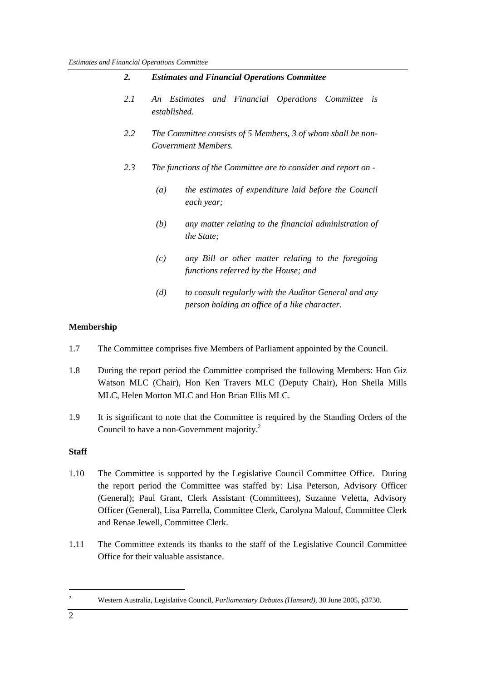| 2.  | <b>Estimates and Financial Operations Committee</b>                                                           |  |  |
|-----|---------------------------------------------------------------------------------------------------------------|--|--|
| 2.1 | Estimates and Financial Operations Committee<br>is<br>An<br>established.                                      |  |  |
| 2.2 | The Committee consists of 5 Members, 3 of whom shall be non-<br>Government Members.                           |  |  |
| 2.3 | The functions of the Committee are to consider and report on -                                                |  |  |
|     | the estimates of expenditure laid before the Council<br>$\left(a\right)$<br>each year;                        |  |  |
|     | (b)<br>any matter relating to the financial administration of<br><i>the State</i> ;                           |  |  |
|     | any Bill or other matter relating to the foregoing<br>(c)<br>functions referred by the House; and             |  |  |
|     | to consult regularly with the Auditor General and any<br>(d)<br>person holding an office of a like character. |  |  |

## **Membership**

- 1.7 The Committee comprises five Members of Parliament appointed by the Council.
- 1.8 During the report period the Committee comprised the following Members: Hon Giz Watson MLC (Chair), Hon Ken Travers MLC (Deputy Chair), Hon Sheila Mills MLC, Helen Morton MLC and Hon Brian Ellis MLC.
- 1.9 It is significant to note that the Committee is required by the Standing Orders of the Council to have a non-Government majority.<sup>2</sup>

## **Staff**

- 1.10 The Committee is supported by the Legislative Council Committee Office. During the report period the Committee was staffed by: Lisa Peterson, Advisory Officer (General); Paul Grant, Clerk Assistant (Committees), Suzanne Veletta, Advisory Officer (General), Lisa Parrella, Committee Clerk, Carolyna Malouf, Committee Clerk and Renae Jewell, Committee Clerk.
- 1.11 The Committee extends its thanks to the staff of the Legislative Council Committee Office for their valuable assistance.

Western Australia, Legislative Council, *Parliamentary Debates (Hansard),* 30 June 2005, p3730.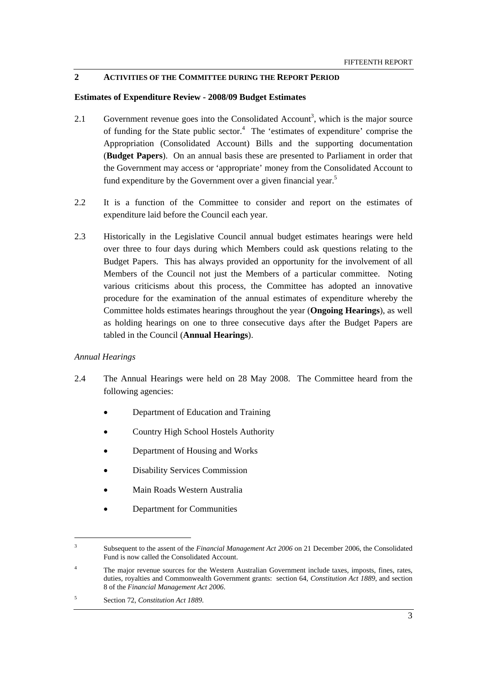## **2 ACTIVITIES OF THE COMMITTEE DURING THE REPORT PERIOD**

#### **Estimates of Expenditure Review - 2008/09 Budget Estimates**

- 2.1 Government revenue goes into the Consolidated Account<sup>3</sup>, which is the major source of funding for the State public sector.<sup>4</sup> The 'estimates of expenditure' comprise the Appropriation (Consolidated Account) Bills and the supporting documentation (**Budget Papers**). On an annual basis these are presented to Parliament in order that the Government may access or 'appropriate' money from the Consolidated Account to fund expenditure by the Government over a given financial year.<sup>5</sup>
- 2.2 It is a function of the Committee to consider and report on the estimates of expenditure laid before the Council each year.
- 2.3 Historically in the Legislative Council annual budget estimates hearings were held over three to four days during which Members could ask questions relating to the Budget Papers. This has always provided an opportunity for the involvement of all Members of the Council not just the Members of a particular committee. Noting various criticisms about this process, the Committee has adopted an innovative procedure for the examination of the annual estimates of expenditure whereby the Committee holds estimates hearings throughout the year (**Ongoing Hearings**), as well as holding hearings on one to three consecutive days after the Budget Papers are tabled in the Council (**Annual Hearings**).

#### *Annual Hearings*

- 2.4 The Annual Hearings were held on 28 May 2008. The Committee heard from the following agencies:
	- Department of Education and Training
	- Country High School Hostels Authority
	- Department of Housing and Works
	- Disability Services Commission
	- Main Roads Western Australia
	- Department for Communities

<sup>3</sup> Subsequent to the assent of the *Financial Management Act 2006* on 21 December 2006, the Consolidated Fund is now called the Consolidated Account.

<sup>4</sup> The major revenue sources for the Western Australian Government include taxes, imposts, fines, rates, duties, royalties and Commonwealth Government grants: section 64, *Constitution Act 1889*, and section 8 of the *Financial Management Act 2006*.

<sup>5</sup> Section 72, *Constitution Act 1889*.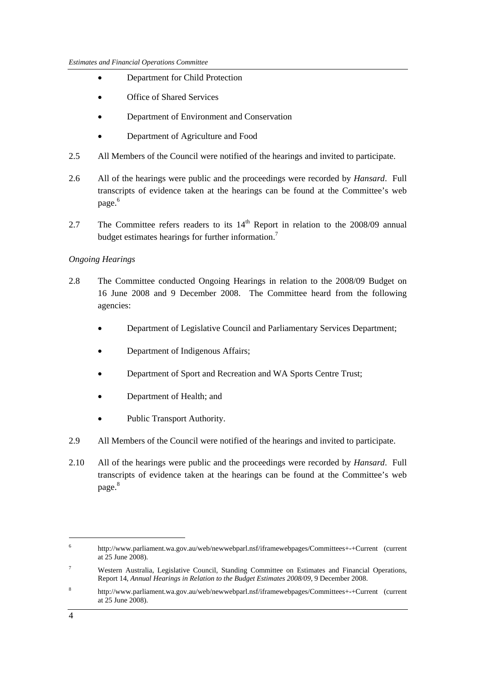- Department for Child Protection
- Office of Shared Services
- Department of Environment and Conservation
- Department of Agriculture and Food
- 2.5 All Members of the Council were notified of the hearings and invited to participate.
- 2.6 All of the hearings were public and the proceedings were recorded by *Hansard*. Full transcripts of evidence taken at the hearings can be found at the Committee's web page.<sup>6</sup>
- 2.7 The Committee refers readers to its  $14<sup>th</sup>$  Report in relation to the 2008/09 annual budget estimates hearings for further information.<sup>7</sup>

## *Ongoing Hearings*

- 2.8 The Committee conducted Ongoing Hearings in relation to the 2008/09 Budget on 16 June 2008 and 9 December 2008. The Committee heard from the following agencies:
	- Department of Legislative Council and Parliamentary Services Department;
	- Department of Indigenous Affairs;
	- Department of Sport and Recreation and WA Sports Centre Trust;
	- Department of Health; and
	- Public Transport Authority.
- 2.9 All Members of the Council were notified of the hearings and invited to participate.
- 2.10 All of the hearings were public and the proceedings were recorded by *Hansard*. Full transcripts of evidence taken at the hearings can be found at the Committee's web page.<sup>8</sup>

<sup>6</sup> http://www.parliament.wa.gov.au/web/newwebparl.nsf/iframewebpages/Committees+-+Current (current at 25 June 2008).

<sup>7</sup> Western Australia, Legislative Council, Standing Committee on Estimates and Financial Operations, Report 14, *Annual Hearings in Relation to the Budget Estimates 2008/09,* 9 December 2008.

<sup>8</sup> http://www.parliament.wa.gov.au/web/newwebparl.nsf/iframewebpages/Committees+-+Current (current at 25 June 2008).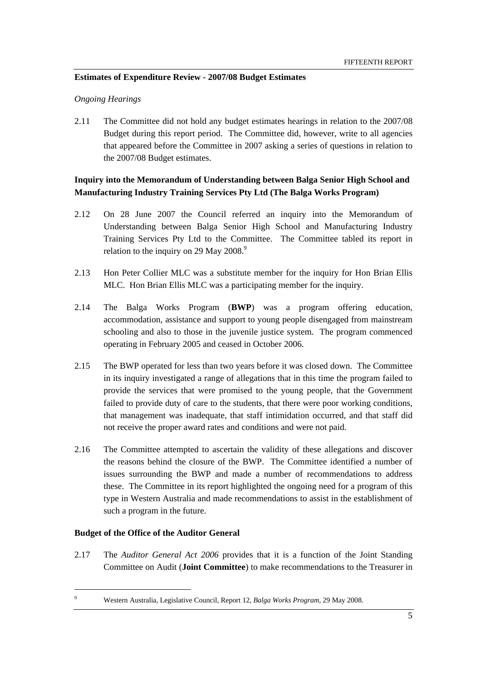## **Estimates of Expenditure Review - 2007/08 Budget Estimates**

### *Ongoing Hearings*

2.11 The Committee did not hold any budget estimates hearings in relation to the 2007/08 Budget during this report period. The Committee did, however, write to all agencies that appeared before the Committee in 2007 asking a series of questions in relation to the 2007/08 Budget estimates.

## **Inquiry into the Memorandum of Understanding between Balga Senior High School and Manufacturing Industry Training Services Pty Ltd (The Balga Works Program)**

- 2.12 On 28 June 2007 the Council referred an inquiry into the Memorandum of Understanding between Balga Senior High School and Manufacturing Industry Training Services Pty Ltd to the Committee. The Committee tabled its report in relation to the inquiry on 29 May 2008.<sup>9</sup>
- 2.13 Hon Peter Collier MLC was a substitute member for the inquiry for Hon Brian Ellis MLC. Hon Brian Ellis MLC was a participating member for the inquiry.
- 2.14 The Balga Works Program (**BWP**) was a program offering education, accommodation, assistance and support to young people disengaged from mainstream schooling and also to those in the juvenile justice system. The program commenced operating in February 2005 and ceased in October 2006.
- 2.15 The BWP operated for less than two years before it was closed down. The Committee in its inquiry investigated a range of allegations that in this time the program failed to provide the services that were promised to the young people, that the Government failed to provide duty of care to the students, that there were poor working conditions, that management was inadequate, that staff intimidation occurred, and that staff did not receive the proper award rates and conditions and were not paid.
- 2.16 The Committee attempted to ascertain the validity of these allegations and discover the reasons behind the closure of the BWP. The Committee identified a number of issues surrounding the BWP and made a number of recommendations to address these. The Committee in its report highlighted the ongoing need for a program of this type in Western Australia and made recommendations to assist in the establishment of such a program in the future.

#### **Budget of the Office of the Auditor General**

 9

2.17 The *Auditor General Act 2006* provides that it is a function of the Joint Standing Committee on Audit (**Joint Committee**) to make recommendations to the Treasurer in

Western Australia, Legislative Council, Report 12, *Balga Works Program,* 29 May 2008.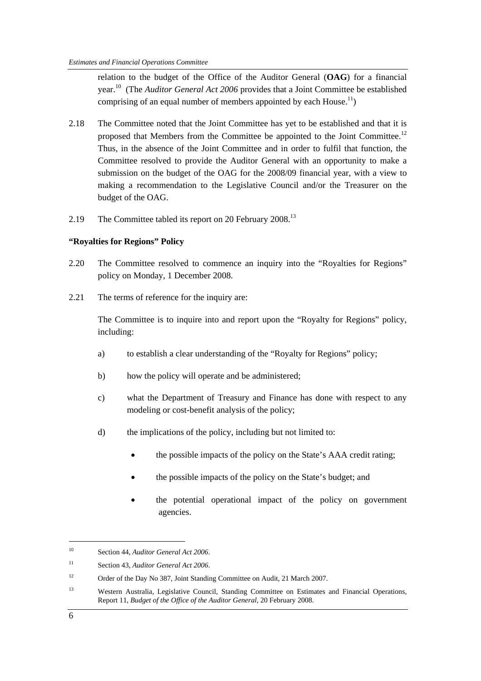relation to the budget of the Office of the Auditor General (**OAG**) for a financial year.10 (The *Auditor General Act 2006* provides that a Joint Committee be established comprising of an equal number of members appointed by each House.<sup>11</sup>)

- 2.18 The Committee noted that the Joint Committee has yet to be established and that it is proposed that Members from the Committee be appointed to the Joint Committee.<sup>12</sup> Thus, in the absence of the Joint Committee and in order to fulfil that function, the Committee resolved to provide the Auditor General with an opportunity to make a submission on the budget of the OAG for the 2008/09 financial year, with a view to making a recommendation to the Legislative Council and/or the Treasurer on the budget of the OAG.
- 2.19 The Committee tabled its report on 20 February 2008.<sup>13</sup>

#### **"Royalties for Regions" Policy**

- 2.20 The Committee resolved to commence an inquiry into the "Royalties for Regions" policy on Monday, 1 December 2008.
- 2.21 The terms of reference for the inquiry are:

The Committee is to inquire into and report upon the "Royalty for Regions" policy, including:

- a) to establish a clear understanding of the "Royalty for Regions" policy;
- b) how the policy will operate and be administered;
- c) what the Department of Treasury and Finance has done with respect to any modeling or cost-benefit analysis of the policy;
- d) the implications of the policy, including but not limited to:
	- the possible impacts of the policy on the State's AAA credit rating;
	- the possible impacts of the policy on the State's budget; and
	- the potential operational impact of the policy on government agencies.

 $\overline{a}$ 

<sup>10</sup> Section 44, *Auditor General Act 2006*.

<sup>11</sup> Section 43, *Auditor General Act 2006*.

<sup>&</sup>lt;sup>12</sup> Order of the Day No 387, Joint Standing Committee on Audit, 21 March 2007.

<sup>&</sup>lt;sup>13</sup> Western Australia, Legislative Council, Standing Committee on Estimates and Financial Operations, Report 11, *Budget of the Office of the Auditor General,* 20 February 2008.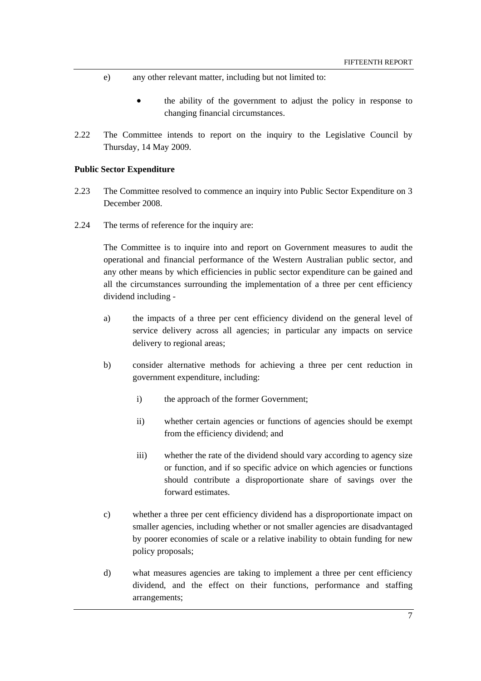- e) any other relevant matter, including but not limited to:
	- the ability of the government to adjust the policy in response to changing financial circumstances.
- 2.22 The Committee intends to report on the inquiry to the Legislative Council by Thursday, 14 May 2009.

#### **Public Sector Expenditure**

- 2.23 The Committee resolved to commence an inquiry into Public Sector Expenditure on 3 December 2008.
- 2.24 The terms of reference for the inquiry are:

The Committee is to inquire into and report on Government measures to audit the operational and financial performance of the Western Australian public sector, and any other means by which efficiencies in public sector expenditure can be gained and all the circumstances surrounding the implementation of a three per cent efficiency dividend including -

- a) the impacts of a three per cent efficiency dividend on the general level of service delivery across all agencies; in particular any impacts on service delivery to regional areas;
- b) consider alternative methods for achieving a three per cent reduction in government expenditure, including:
	- i) the approach of the former Government;
	- ii) whether certain agencies or functions of agencies should be exempt from the efficiency dividend; and
	- iii) whether the rate of the dividend should vary according to agency size or function, and if so specific advice on which agencies or functions should contribute a disproportionate share of savings over the forward estimates.
- c) whether a three per cent efficiency dividend has a disproportionate impact on smaller agencies, including whether or not smaller agencies are disadvantaged by poorer economies of scale or a relative inability to obtain funding for new policy proposals;
- d) what measures agencies are taking to implement a three per cent efficiency dividend, and the effect on their functions, performance and staffing arrangements;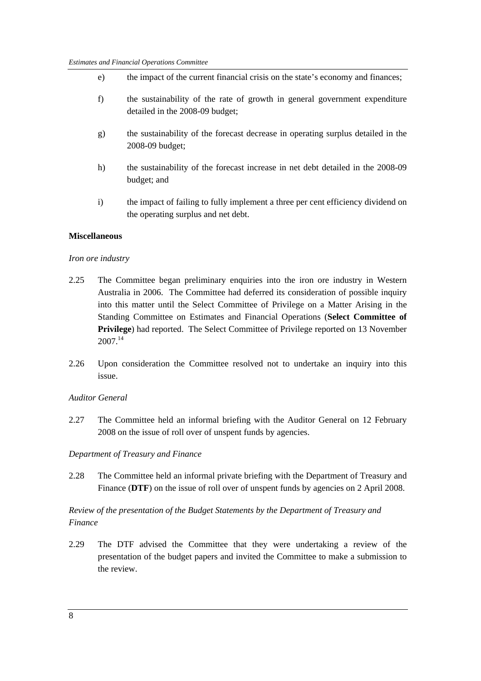- e) the impact of the current financial crisis on the state's economy and finances;
- f) the sustainability of the rate of growth in general government expenditure detailed in the 2008-09 budget;
- g) the sustainability of the forecast decrease in operating surplus detailed in the 2008-09 budget;
- h) the sustainability of the forecast increase in net debt detailed in the 2008-09 budget; and
- i) the impact of failing to fully implement a three per cent efficiency dividend on the operating surplus and net debt.

#### **Miscellaneous**

#### *Iron ore industry*

- 2.25 The Committee began preliminary enquiries into the iron ore industry in Western Australia in 2006. The Committee had deferred its consideration of possible inquiry into this matter until the Select Committee of Privilege on a Matter Arising in the Standing Committee on Estimates and Financial Operations (**Select Committee of Privilege**) had reported. The Select Committee of Privilege reported on 13 November 2007.14
- 2.26 Upon consideration the Committee resolved not to undertake an inquiry into this issue.

#### *Auditor General*

2.27 The Committee held an informal briefing with the Auditor General on 12 February 2008 on the issue of roll over of unspent funds by agencies.

#### *Department of Treasury and Finance*

2.28 The Committee held an informal private briefing with the Department of Treasury and Finance (DTF) on the issue of roll over of unspent funds by agencies on 2 April 2008.

## *Review of the presentation of the Budget Statements by the Department of Treasury and Finance*

2.29 The DTF advised the Committee that they were undertaking a review of the presentation of the budget papers and invited the Committee to make a submission to the review.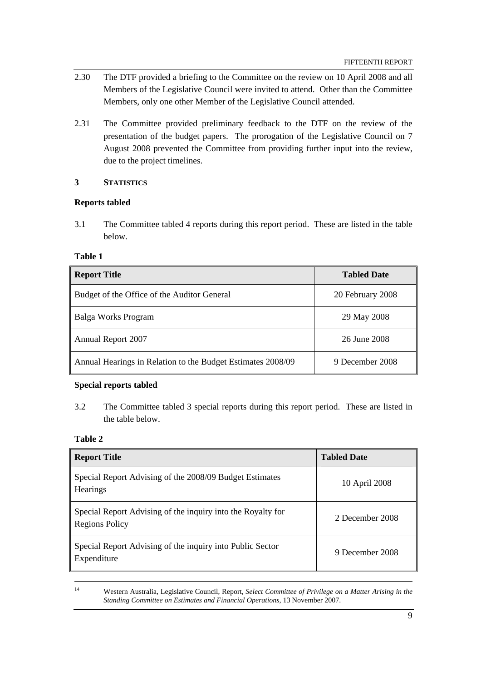- 2.30 The DTF provided a briefing to the Committee on the review on 10 April 2008 and all Members of the Legislative Council were invited to attend. Other than the Committee Members, only one other Member of the Legislative Council attended.
- 2.31 The Committee provided preliminary feedback to the DTF on the review of the presentation of the budget papers. The prorogation of the Legislative Council on 7 August 2008 prevented the Committee from providing further input into the review, due to the project timelines.

## **3 STATISTICS**

## **Reports tabled**

3.1 The Committee tabled 4 reports during this report period. These are listed in the table below.

#### **Table 1**

| Report Title                                                | <b>Tabled Date</b> |
|-------------------------------------------------------------|--------------------|
| Budget of the Office of the Auditor General                 | 20 February 2008   |
| Balga Works Program                                         | 29 May 2008        |
| Annual Report 2007                                          | 26 June 2008       |
| Annual Hearings in Relation to the Budget Estimates 2008/09 | 9 December 2008    |

### **Special reports tabled**

3.2 The Committee tabled 3 special reports during this report period. These are listed in the table below.

#### **Table 2**

| <b>Report Title</b>                                                                  | <b>Tabled Date</b> |
|--------------------------------------------------------------------------------------|--------------------|
| Special Report Advising of the 2008/09 Budget Estimates<br><b>Hearings</b>           | 10 April 2008      |
| Special Report Advising of the inquiry into the Royalty for<br><b>Regions Policy</b> | 2 December 2008    |
| Special Report Advising of the inquiry into Public Sector<br>Expenditure             | 9 December 2008    |

 14 Western Australia, Legislative Council, Report, *Select Committee of Privilege on a Matter Arising in the Standing Committee on Estimates and Financial Operations*, 13 November 2007.